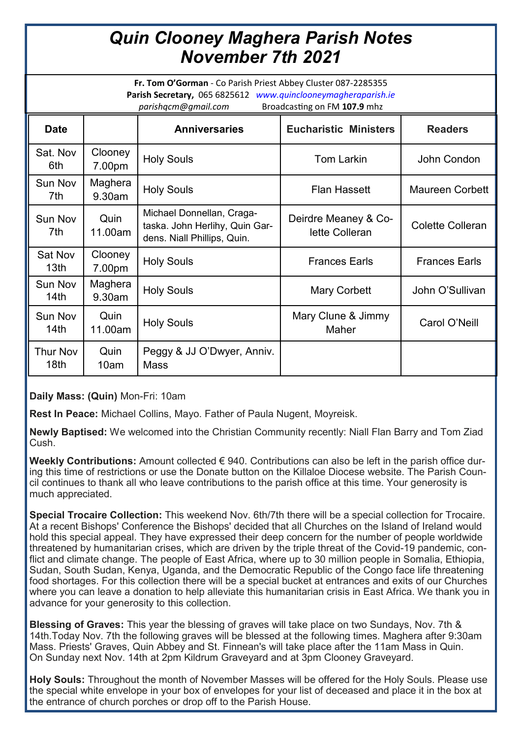## *Quin Clooney Maghera Parish Notes November 7th 2021*

**Fr. Tom O'Gorman** - Co Parish Priest Abbey Cluster 087-2285355 **Parish Secretary,** 065 6825612 *www.quinclooneymagheraparish.ie parishqcm@gmail.com* Broadcasting on FM **107.9** mhz

| punangum wannam.com<br><b>Production of the 2011 1999 11:12</b> |                   |                                                                                            |                                        |                         |
|-----------------------------------------------------------------|-------------------|--------------------------------------------------------------------------------------------|----------------------------------------|-------------------------|
| <b>Date</b>                                                     |                   | <b>Anniversaries</b>                                                                       | <b>Eucharistic Ministers</b>           | <b>Readers</b>          |
| Sat. Nov<br>6th                                                 | Clooney<br>7.00pm | <b>Holy Souls</b>                                                                          | <b>Tom Larkin</b>                      | John Condon             |
| <b>Sun Nov</b><br>7th                                           | Maghera<br>9.30am | <b>Holy Souls</b>                                                                          | <b>Flan Hassett</b>                    | <b>Maureen Corbett</b>  |
| Sun Nov<br>7th                                                  | Quin<br>11.00am   | Michael Donnellan, Craga-<br>taska. John Herlihy, Quin Gar-<br>dens. Niall Phillips, Quin. | Deirdre Meaney & Co-<br>lette Colleran | <b>Colette Colleran</b> |
| Sat Nov<br>13 <sub>th</sub>                                     | Clooney<br>7.00pm | <b>Holy Souls</b>                                                                          | <b>Frances Earls</b>                   | <b>Frances Earls</b>    |
| Sun Nov<br>14th                                                 | Maghera<br>9.30am | <b>Holy Souls</b>                                                                          | <b>Mary Corbett</b>                    | John O'Sullivan         |
| Sun Nov<br>14 <sub>th</sub>                                     | Quin<br>11.00am   | <b>Holy Souls</b>                                                                          | Mary Clune & Jimmy<br>Maher            | Carol O'Neill           |
| Thur Nov<br>18th                                                | Quin<br>10am      | Peggy & JJ O'Dwyer, Anniv.<br><b>Mass</b>                                                  |                                        |                         |

**Daily Mass: (Quin)** Mon-Fri: 10am

**Rest In Peace:** Michael Collins, Mayo. Father of Paula Nugent, Moyreisk.

**Newly Baptised:** We welcomed into the Christian Community recently: Niall Flan Barry and Tom Ziad Cush.

**Weekly Contributions:** Amount collected € 940. Contributions can also be left in the parish office during this time of restrictions or use the Donate button on the Killaloe Diocese website. The Parish Council continues to thank all who leave contributions to the parish office at this time. Your generosity is much appreciated.

**Special Trocaire Collection:** This weekend Nov. 6th/7th there will be a special collection for Trocaire. At a recent Bishops' Conference the Bishops' decided that all Churches on the Island of Ireland would hold this special appeal. They have expressed their deep concern for the number of people worldwide threatened by humanitarian crises, which are driven by the triple threat of the Covid-19 pandemic, conflict and climate change. The people of East Africa, where up to 30 million people in Somalia, Ethiopia, Sudan, South Sudan, Kenya, Uganda, and the Democratic Republic of the Congo face life threatening food shortages. For this collection there will be a special bucket at entrances and exits of our Churches where you can leave a donation to help alleviate this humanitarian crisis in East Africa. We thank you in advance for your generosity to this collection.

**Blessing of Graves:** This year the blessing of graves will take place on two Sundays, Nov. 7th & 14th.Today Nov. 7th the following graves will be blessed at the following times. Maghera after 9:30am Mass. Priests' Graves, Quin Abbey and St. Finnean's will take place after the 11am Mass in Quin. On Sunday next Nov. 14th at 2pm Kildrum Graveyard and at 3pm Clooney Graveyard.

**Holy Souls:** Throughout the month of November Masses will be offered for the Holy Souls. Please use the special white envelope in your box of envelopes for your list of deceased and place it in the box at the entrance of church porches or drop off to the Parish House.